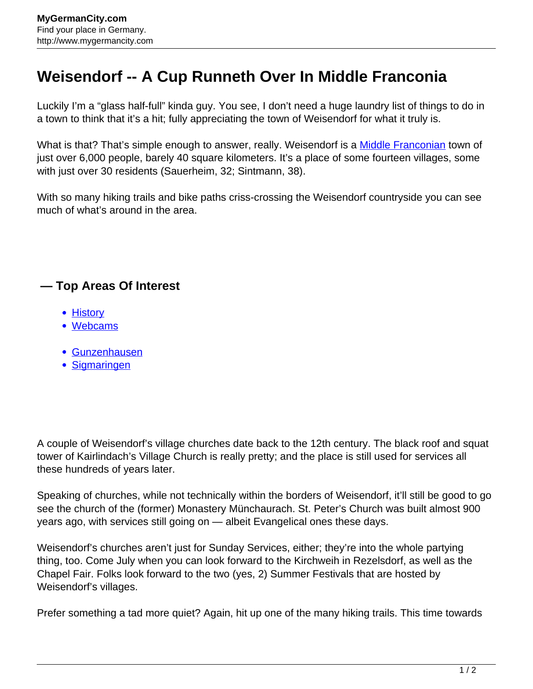## **Weisendorf -- A Cup Runneth Over In Middle Franconia**

Luckily I'm a "glass half-full" kinda guy. You see, I don't need a huge laundry list of things to do in a town to think that it's a hit; fully appreciating the town of Weisendorf for what it truly is.

What is that? That's simple enough to answer, really. Weisendorf is a [Middle Franconian](http://www.mygermancity.com/middle-franconia) town of just over 6,000 people, barely 40 square kilometers. It's a place of some fourteen villages, some with just over 30 residents (Sauerheim, 32; Sintmann, 38).

With so many hiking trails and bike paths criss-crossing the Weisendorf countryside you can see much of what's around in the area.

## **— Top Areas Of Interest**

- [History](http://www.mygermancity.com/leipzig-history)
- [Webcams](http://www.mygermancity.com/neustadt-holstein-webcams)
- [Gunzenhausen](http://www.mygermancity.com/gunzenhausen)
- [Sigmaringen](http://www.mygermancity.com/sigmaringen)

A couple of Weisendorf's village churches date back to the 12th century. The black roof and squat tower of Kairlindach's Village Church is really pretty; and the place is still used for services all these hundreds of years later.

Speaking of churches, while not technically within the borders of Weisendorf, it'll still be good to go see the church of the (former) Monastery Münchaurach. St. Peter's Church was built almost 900 years ago, with services still going on — albeit Evangelical ones these days.

Weisendorf's churches aren't just for Sunday Services, either; they're into the whole partying thing, too. Come July when you can look forward to the Kirchweih in Rezelsdorf, as well as the Chapel Fair. Folks look forward to the two (yes, 2) Summer Festivals that are hosted by Weisendorf's villages.

Prefer something a tad more quiet? Again, hit up one of the many hiking trails. This time towards